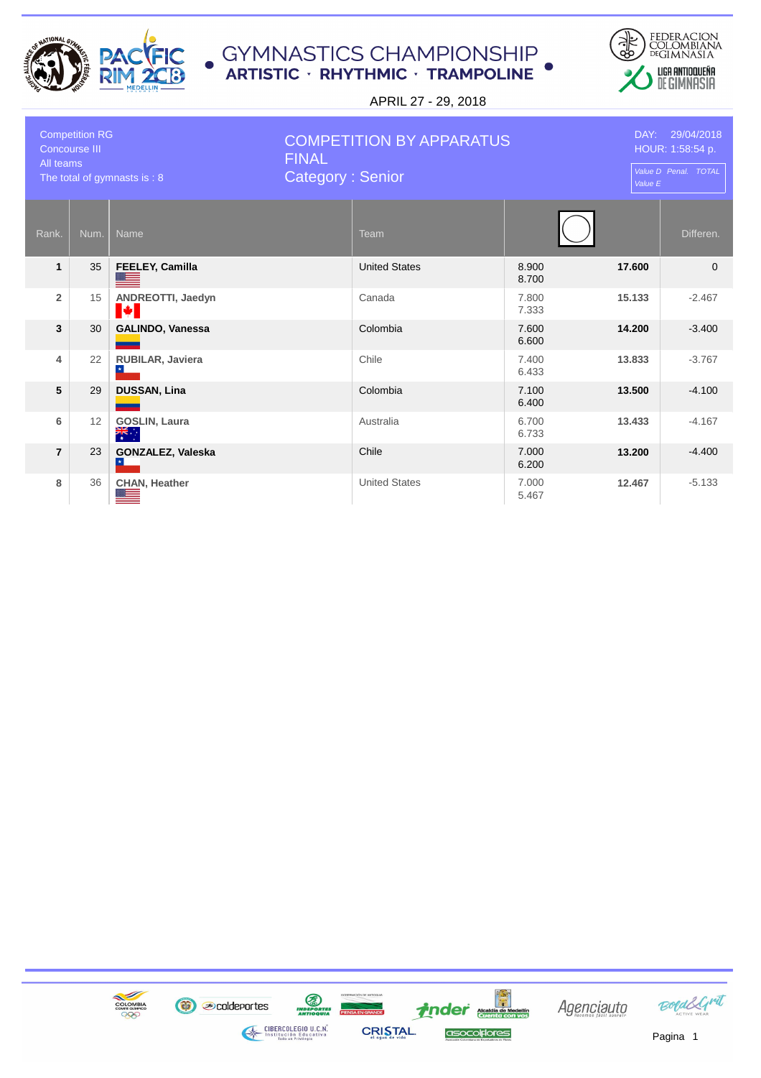



| <b>Competition RG</b><br>Concourse III<br>All teams<br>The total of gymnasts is: 8 |      |                                              | <b>COMPETITION BY APPARATUS</b><br><b>FINAL</b><br><b>Category: Senior</b> |                |        | DAY: 29/04/2018<br>HOUR: 1:58:54 p.<br>Value D Penal. TOTAL<br>Value E |  |
|------------------------------------------------------------------------------------|------|----------------------------------------------|----------------------------------------------------------------------------|----------------|--------|------------------------------------------------------------------------|--|
| Rank.                                                                              | Num. | <b>Name</b>                                  | Team                                                                       |                |        | Differen.                                                              |  |
| $\mathbf{1}$                                                                       | 35   | FEELEY, Camilla                              | <b>United States</b>                                                       | 8.900<br>8.700 | 17.600 | $\Omega$                                                               |  |
| $\overline{2}$                                                                     | 15   | ANDREOTTI, Jaedyn<br>И                       | Canada                                                                     | 7.800<br>7.333 | 15.133 | $-2.467$                                                               |  |
| 3                                                                                  | 30   | GALINDO, Vanessa                             | Colombia                                                                   | 7.600<br>6.600 | 14.200 | $-3.400$                                                               |  |
| $\overline{4}$                                                                     | 22   | RUBILAR, Javiera                             | Chile                                                                      | 7.400<br>6.433 | 13.833 | $-3.767$                                                               |  |
| 5                                                                                  | 29   | <b>DUSSAN, Lina</b>                          | Colombia                                                                   | 7.100<br>6.400 | 13.500 | $-4.100$                                                               |  |
| 6                                                                                  | 12   | <b>GOSLIN, Laura</b><br>$\frac{1}{\sqrt{2}}$ | Australia                                                                  | 6.700<br>6.733 | 13,433 | $-4.167$                                                               |  |
| $\overline{7}$                                                                     | 23   | GONZALEZ, Valeska                            | Chile                                                                      | 7.000<br>6.200 | 13.200 | $-4.400$                                                               |  |
| 8                                                                                  | 36   | <b>CHAN, Heather</b>                         | <b>United States</b>                                                       | 7.000<br>5.467 | 12.467 | $-5.133$                                                               |  |

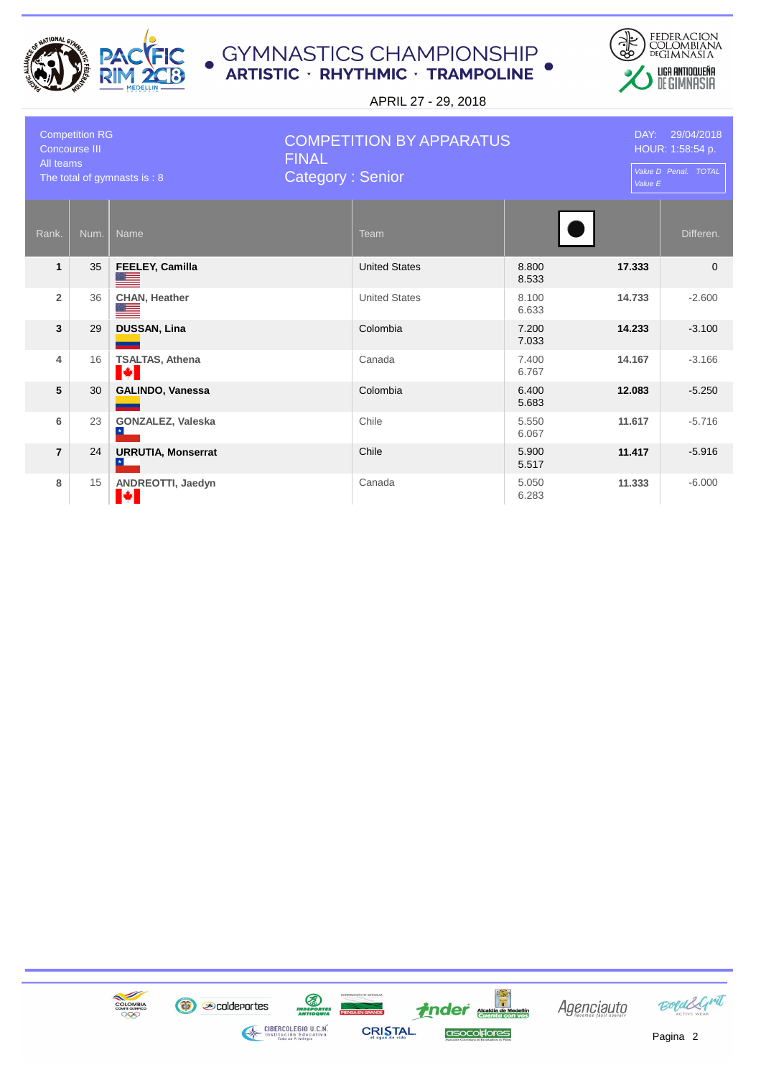



| <b>Competition RG</b><br>Concourse III<br>All teams<br>The total of gymnasts is: 8 |      | <b>COMPETITION BY APPARATUS</b><br><b>FINAL</b><br><b>Category: Senior</b> |  |                      | DAY: 29/04/2018<br>HOUR: 1:58:54 p.<br>Value D Penal. TOTAL<br>Value E |        |           |
|------------------------------------------------------------------------------------|------|----------------------------------------------------------------------------|--|----------------------|------------------------------------------------------------------------|--------|-----------|
| Rank.                                                                              | Num. | Name                                                                       |  | <b>Team</b>          |                                                                        |        | Differen. |
| $\mathbf{1}$                                                                       | 35   | FEELEY, Camilla                                                            |  | <b>United States</b> | 8.800<br>8.533                                                         | 17.333 | $\Omega$  |
| $\overline{2}$                                                                     | 36   | <b>CHAN, Heather</b>                                                       |  | <b>United States</b> | 8.100<br>6.633                                                         | 14.733 | $-2.600$  |
| 3                                                                                  | 29   | <b>DUSSAN, Lina</b>                                                        |  | Colombia             | 7.200<br>7.033                                                         | 14.233 | $-3.100$  |
| 4                                                                                  | 16   | <b>TSALTAS, Athena</b><br>N 1                                              |  | Canada               | 7.400<br>6.767                                                         | 14.167 | $-3.166$  |
| 5                                                                                  | 30   | GALINDO, Vanessa                                                           |  | Colombia             | 6.400<br>5.683                                                         | 12.083 | $-5.250$  |
| 6                                                                                  | 23   | <b>GONZALEZ, Valeska</b>                                                   |  | Chile                | 5.550<br>6.067                                                         | 11.617 | $-5.716$  |
| $\overline{7}$                                                                     | 24   | <b>URRUTIA, Monserrat</b>                                                  |  | Chile                | 5.900<br>5.517                                                         | 11.417 | $-5.916$  |
| 8                                                                                  | 15   | ANDREOTTI, Jaedyn<br>L.                                                    |  | Canada               | 5.050<br>6.283                                                         | 11.333 | $-6.000$  |

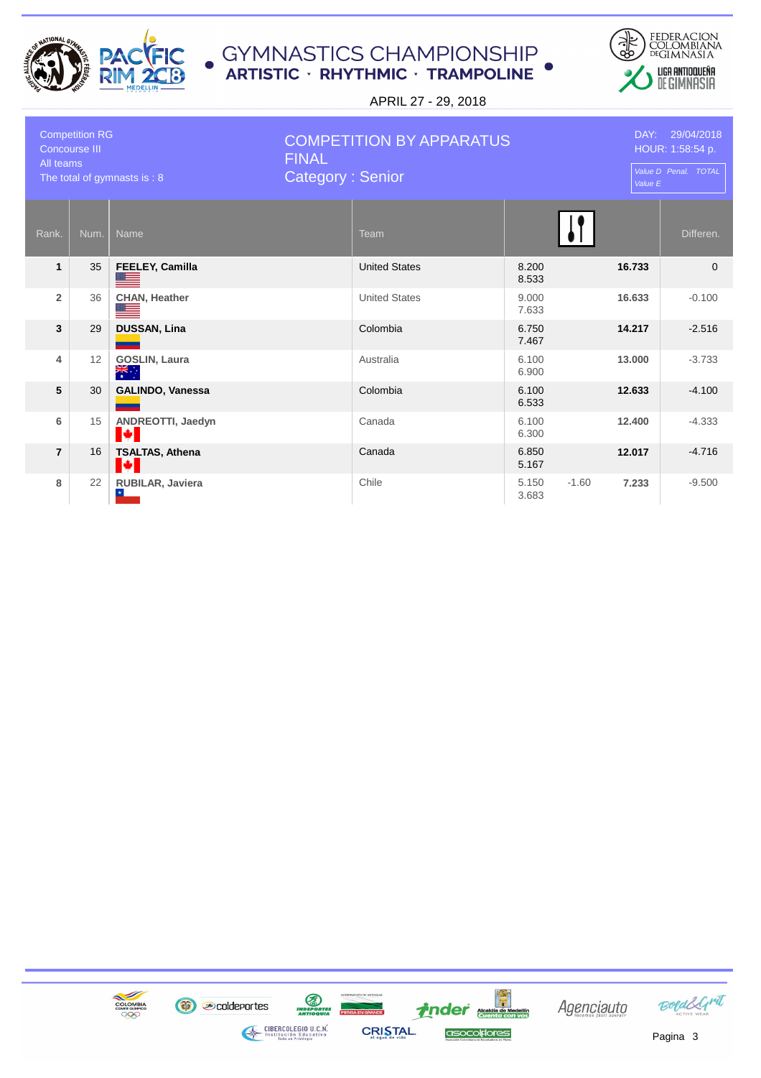



| <b>Competition RG</b><br><b>Concourse III</b><br>All teams<br>The total of gymnasts is : 8 |      | <b>FINAL</b>                       | <b>COMPETITION BY APPARATUS</b><br><b>Category: Senior</b> |                      |                |         | DAY: 29/04/2018<br>HOUR: 1:58:54 p.<br>Value D Penal. TOTAL<br>Value E |           |
|--------------------------------------------------------------------------------------------|------|------------------------------------|------------------------------------------------------------|----------------------|----------------|---------|------------------------------------------------------------------------|-----------|
| Rank.                                                                                      | Num. | <b>Name</b>                        |                                                            | Team                 |                |         |                                                                        | Differen. |
| $\mathbf{1}$                                                                               | 35   | FEELEY, Camilla                    |                                                            | <b>United States</b> | 8.200<br>8.533 |         | 16.733                                                                 | $\Omega$  |
| $\overline{2}$                                                                             | 36   | <b>CHAN, Heather</b>               |                                                            | <b>United States</b> | 9.000<br>7.633 |         | 16.633                                                                 | $-0.100$  |
| 3                                                                                          | 29   | <b>DUSSAN, Lina</b>                |                                                            | Colombia             | 6.750<br>7.467 |         | 14.217                                                                 | $-2.516$  |
| $\overline{\mathbf{4}}$                                                                    | 12   | <b>GOSLIN, Laura</b><br>्हें       |                                                            | Australia            | 6.100<br>6.900 |         | 13,000                                                                 | $-3.733$  |
| 5                                                                                          | 30   | <b>GALINDO, Vanessa</b>            |                                                            | Colombia             | 6.100<br>6.533 |         | 12.633                                                                 | $-4.100$  |
| 6                                                                                          | 15   | ANDREOTTI, Jaedyn<br><b>M</b>      |                                                            | Canada               | 6.100<br>6.300 |         | 12.400                                                                 | $-4.333$  |
| $\overline{7}$                                                                             | 16   | <b>TSALTAS, Athena</b><br><b>A</b> |                                                            | Canada               | 6.850<br>5.167 |         | 12.017                                                                 | $-4.716$  |
| 8                                                                                          | 22   | RUBILAR, Javiera<br>$\star$        |                                                            | Chile                | 5.150<br>3.683 | $-1.60$ | 7.233                                                                  | $-9.500$  |